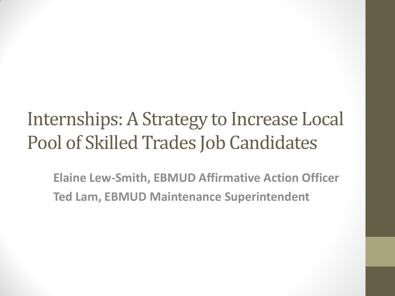#### Internships: A Strategy to Increase Local Pool of Skilled Trades Job Candidates

**Elaine Lew-Smith, EBMUD Affirmative Action Officer Ted Lam, EBMUD Maintenance Superintendent**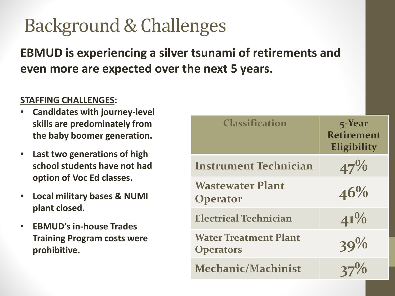### Background & Challenges

#### **EBMUD is experiencing a silver tsunami of retirements and even more are expected over the next 5 years.**

#### **STAFFING CHALLENGES:**

- **Candidates with journey-level skills are predominately from the baby boomer generation.**
- **Last two generations of high school students have not had option of Voc Ed classes.**
- **Local military bases & NUMI plant closed.**
- **EBMUD's in-house Trades Training Program costs were prohibitive.**

| <b>Classification</b>                            | 5-Year<br><b>Retirement</b><br>Eligibility |
|--------------------------------------------------|--------------------------------------------|
| <b>Instrument Technician</b>                     | $47\%$                                     |
| <b>Wastewater Plant</b><br><b>Operator</b>       | 46%                                        |
| <b>Electrical Technician</b>                     | $41\%$                                     |
| <b>Water Treatment Plant</b><br><b>Operators</b> | 39%                                        |
| <b>Mechanic/Machinist</b>                        |                                            |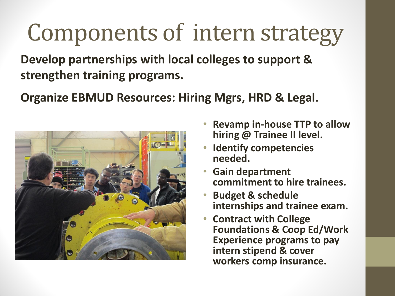# Components of intern strategy

**Develop partnerships with local colleges to support & strengthen training programs.**

**Organize EBMUD Resources: Hiring Mgrs, HRD & Legal.**



- **Revamp in-house TTP to allow hiring @ Trainee II level.**
- **Identify competencies needed.**
- **Gain department commitment to hire trainees.**
- **Budget & schedule internships and trainee exam.**
- **Contract with College Foundations & Coop Ed/Work Experience programs to pay intern stipend & cover workers comp insurance.**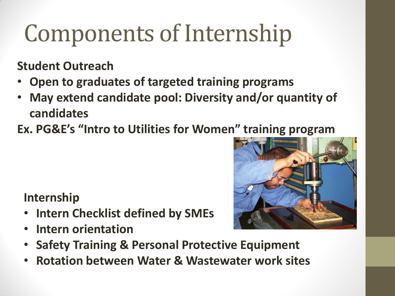# Components of Internship

**Student Outreach**

- **Open to graduates of targeted training programs**
- **May extend candidate pool: Diversity and/or quantity of candidates**
- **Ex. PG&E's "Intro to Utilities for Women" training program**

#### **Internship**

- **Intern Checklist defined by SMEs**
- **Intern orientation**



- **Safety Training & Personal Protective Equipment**
- **Rotation between Water & Wastewater work sites**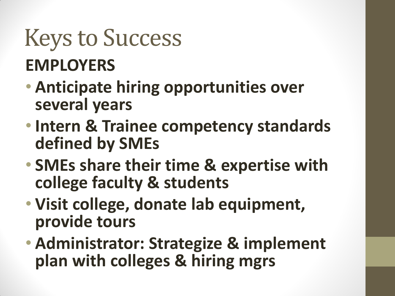### Keys to Success **EMPLOYERS**

- **Anticipate hiring opportunities over several years**
- **Intern & Trainee competency standards defined by SMEs**
- **SMEs share their time & expertise with college faculty & students**
- **Visit college, donate lab equipment, provide tours**
- **Administrator: Strategize & implement plan with colleges & hiring mgrs**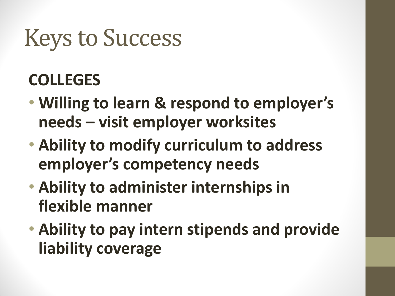### Keys to Success

#### **COLLEGES**

- **Willing to learn & respond to employer's needs – visit employer worksites**
- **Ability to modify curriculum to address employer's competency needs**
- **Ability to administer internships in flexible manner**
- **Ability to pay intern stipends and provide liability coverage**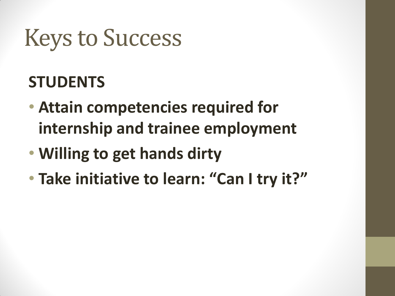## Keys to Success

#### **STUDENTS**

- **Attain competencies required for internship and trainee employment**
- **Willing to get hands dirty**
- **Take initiative to learn: "Can I try it?"**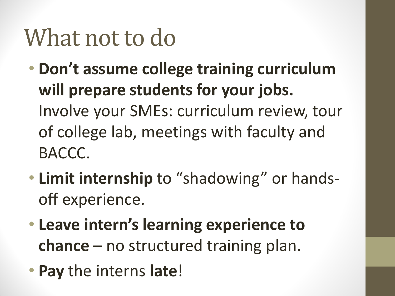### What not to do

- **Don't assume college training curriculum will prepare students for your jobs.**  Involve your SMEs: curriculum review, tour of college lab, meetings with faculty and BACCC.
- **Limit internship** to "shadowing" or handsoff experience.
- **Leave intern's learning experience to chance** – no structured training plan.
- **Pay** the interns **late**!